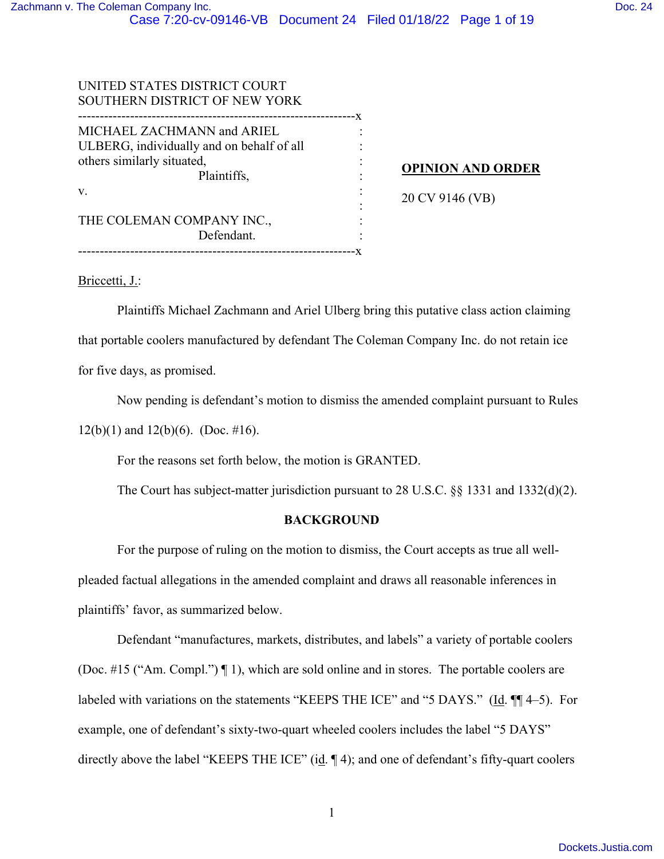| UNITED STATES DISTRICT COURT<br>SOUTHERN DISTRICT OF NEW YORK                                                        |    |                          |
|----------------------------------------------------------------------------------------------------------------------|----|--------------------------|
| MICHAEL ZACHMANN and ARIEL<br>ULBERG, individually and on behalf of all<br>others similarly situated,<br>Plaintiffs, | -x | <b>OPINION AND ORDER</b> |
| V.<br>THE COLEMAN COMPANY INC.,<br>Defendant.                                                                        |    | 20 CV 9146 (VB)          |
|                                                                                                                      |    |                          |

Briccetti, J.:

Plaintiffs Michael Zachmann and Ariel Ulberg bring this putative class action claiming that portable coolers manufactured by defendant The Coleman Company Inc. do not retain ice for five days, as promised.

Now pending is defendant's motion to dismiss the amended complaint pursuant to Rules

 $12(b)(1)$  and  $12(b)(6)$ . (Doc. #16).

For the reasons set forth below, the motion is GRANTED.

The Court has subject-matter jurisdiction pursuant to 28 U.S.C. §§ 1331 and 1332(d)(2).

## **BACKGROUND**

For the purpose of ruling on the motion to dismiss, the Court accepts as true all wellpleaded factual allegations in the amended complaint and draws all reasonable inferences in plaintiffs' favor, as summarized below.

Defendant "manufactures, markets, distributes, and labels" a variety of portable coolers (Doc. #15 ("Am. Compl.") ¶ 1), which are sold online and in stores. The portable coolers are labeled with variations on the statements "KEEPS THE ICE" and "5 DAYS." (Id. ¶¶ 4–5). For example, one of defendant's sixty-two-quart wheeled coolers includes the label "5 DAYS" directly above the label "KEEPS THE ICE" (id. 14); and one of defendant's fifty-quart coolers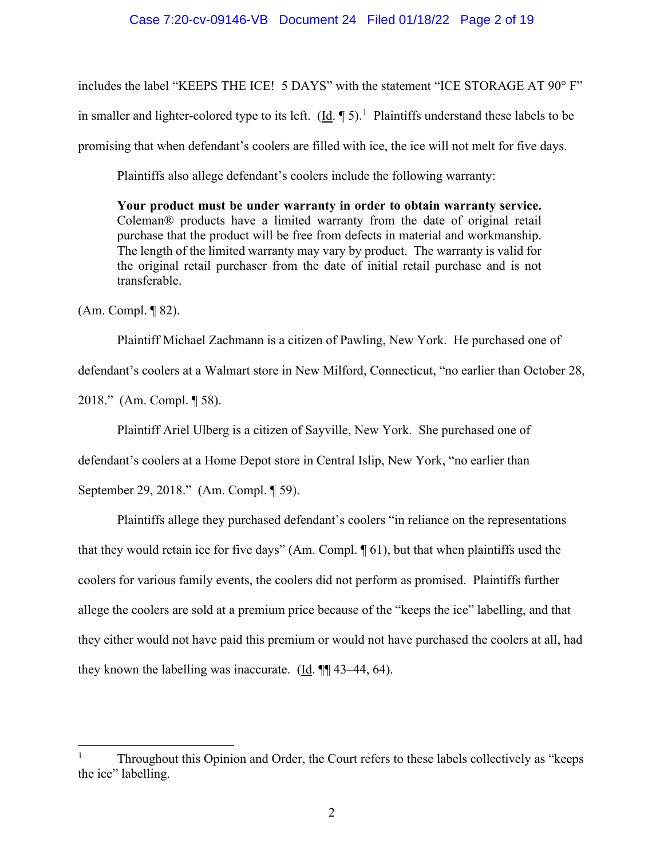### Case 7:20-cv-09146-VB Document 24 Filed 01/18/22 Page 2 of 19

includes the label "KEEPS THE ICE! 5 DAYS" with the statement "ICE STORAGE AT 90° F" in smaller and lighter-colored type to its left.  $(\underline{Id}$ .  $\P$  5).<sup>[1](#page-1-0)</sup> Plaintiffs understand these labels to be promising that when defendant's coolers are filled with ice, the ice will not melt for five days.

Plaintiffs also allege defendant's coolers include the following warranty:

**Your product must be under warranty in order to obtain warranty service.** Coleman® products have a limited warranty from the date of original retail purchase that the product will be free from defects in material and workmanship. The length of the limited warranty may vary by product. The warranty is valid for the original retail purchaser from the date of initial retail purchase and is not transferable.

(Am. Compl. ¶ 82).

Plaintiff Michael Zachmann is a citizen of Pawling, New York. He purchased one of defendant's coolers at a Walmart store in New Milford, Connecticut, "no earlier than October 28, 2018." (Am. Compl. ¶ 58).

Plaintiff Ariel Ulberg is a citizen of Sayville, New York. She purchased one of

defendant's coolers at a Home Depot store in Central Islip, New York, "no earlier than

September 29, 2018." (Am. Compl. ¶ 59).

Plaintiffs allege they purchased defendant's coolers "in reliance on the representations that they would retain ice for five days" (Am. Compl. ¶ 61), but that when plaintiffs used the coolers for various family events, the coolers did not perform as promised. Plaintiffs further allege the coolers are sold at a premium price because of the "keeps the ice" labelling, and that they either would not have paid this premium or would not have purchased the coolers at all, had they known the labelling was inaccurate. (Id. ¶¶ 43–44, 64).

<span id="page-1-0"></span><sup>1</sup> Throughout this Opinion and Order, the Court refers to these labels collectively as "keeps the ice" labelling.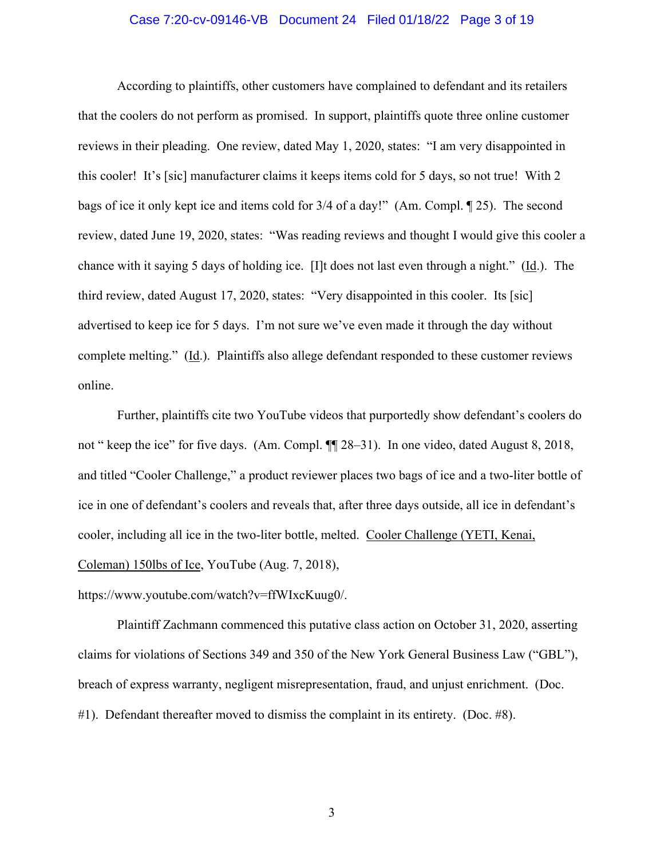#### Case 7:20-cv-09146-VB Document 24 Filed 01/18/22 Page 3 of 19

According to plaintiffs, other customers have complained to defendant and its retailers that the coolers do not perform as promised. In support, plaintiffs quote three online customer reviews in their pleading. One review, dated May 1, 2020, states: "I am very disappointed in this cooler! It's [sic] manufacturer claims it keeps items cold for 5 days, so not true! With 2 bags of ice it only kept ice and items cold for 3/4 of a day!" (Am. Compl. ¶ 25). The second review, dated June 19, 2020, states: "Was reading reviews and thought I would give this cooler a chance with it saying 5 days of holding ice. [I]t does not last even through a night." (Id.). The third review, dated August 17, 2020, states: "Very disappointed in this cooler. Its [sic] advertised to keep ice for 5 days. I'm not sure we've even made it through the day without complete melting." (Id.). Plaintiffs also allege defendant responded to these customer reviews online.

Further, plaintiffs cite two YouTube videos that purportedly show defendant's coolers do not " keep the ice" for five days. (Am. Compl. ¶¶ 28–31). In one video, dated August 8, 2018, and titled "Cooler Challenge," a product reviewer places two bags of ice and a two-liter bottle of ice in one of defendant's coolers and reveals that, after three days outside, all ice in defendant's cooler, including all ice in the two-liter bottle, melted. Cooler Challenge (YETI, Kenai, Coleman) 150lbs of Ice, YouTube (Aug. 7, 2018),

https://www.youtube.com/watch?v=ffWIxcKuug0/.

Plaintiff Zachmann commenced this putative class action on October 31, 2020, asserting claims for violations of Sections 349 and 350 of the New York General Business Law ("GBL"), breach of express warranty, negligent misrepresentation, fraud, and unjust enrichment. (Doc. #1). Defendant thereafter moved to dismiss the complaint in its entirety. (Doc. #8).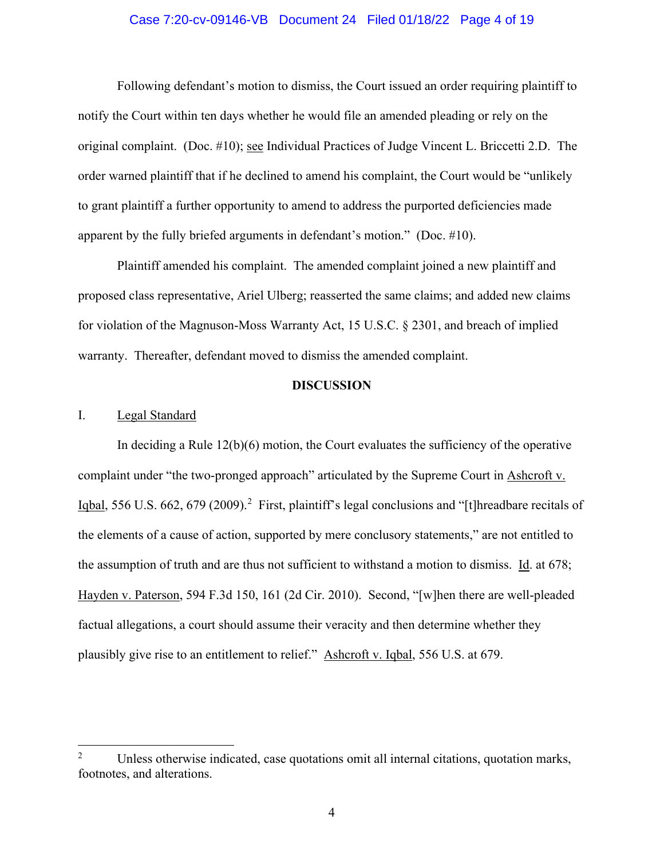### Case 7:20-cv-09146-VB Document 24 Filed 01/18/22 Page 4 of 19

Following defendant's motion to dismiss, the Court issued an order requiring plaintiff to notify the Court within ten days whether he would file an amended pleading or rely on the original complaint. (Doc. #10); see Individual Practices of Judge Vincent L. Briccetti 2.D. The order warned plaintiff that if he declined to amend his complaint, the Court would be "unlikely to grant plaintiff a further opportunity to amend to address the purported deficiencies made apparent by the fully briefed arguments in defendant's motion." (Doc. #10).

Plaintiff amended his complaint. The amended complaint joined a new plaintiff and proposed class representative, Ariel Ulberg; reasserted the same claims; and added new claims for violation of the Magnuson-Moss Warranty Act, 15 U.S.C. § 2301, and breach of implied warranty. Thereafter, defendant moved to dismiss the amended complaint.

#### **DISCUSSION**

#### I. Legal Standard

In deciding a Rule  $12(b)(6)$  motion, the Court evaluates the sufficiency of the operative complaint under "the two-pronged approach" articulated by the Supreme Court in Ashcroft v. Iqbal, 556 U.S. 66[2](#page-3-0), 679 (2009).<sup>2</sup> First, plaintiff's legal conclusions and "[t]hreadbare recitals of the elements of a cause of action, supported by mere conclusory statements," are not entitled to the assumption of truth and are thus not sufficient to withstand a motion to dismiss. Id. at 678; Hayden v. Paterson, 594 F.3d 150, 161 (2d Cir. 2010). Second, "[w]hen there are well-pleaded factual allegations, a court should assume their veracity and then determine whether they plausibly give rise to an entitlement to relief." Ashcroft v. Iqbal, 556 U.S. at 679.

<span id="page-3-0"></span><sup>2</sup> Unless otherwise indicated, case quotations omit all internal citations, quotation marks, footnotes, and alterations.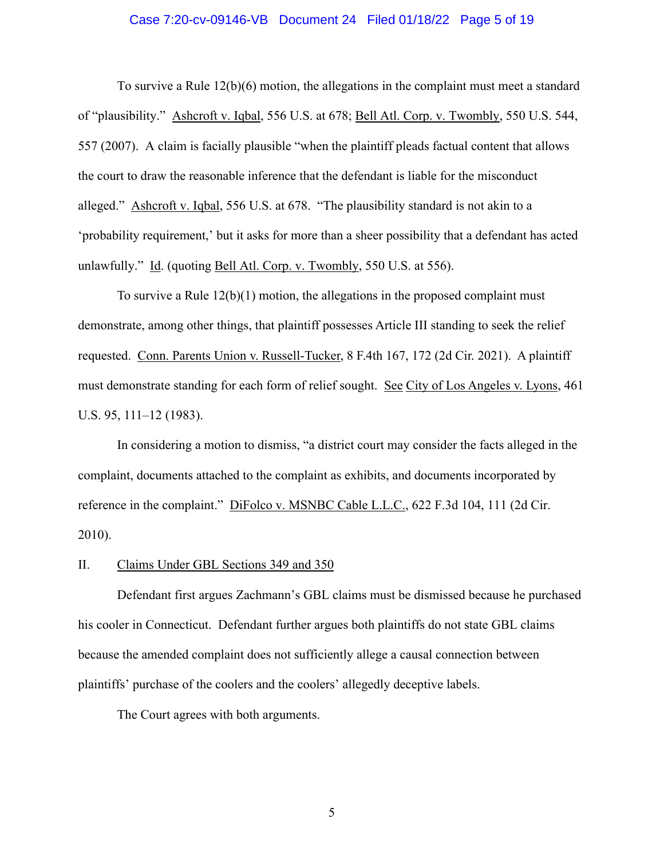#### Case 7:20-cv-09146-VB Document 24 Filed 01/18/22 Page 5 of 19

To survive a Rule 12(b)(6) motion, the allegations in the complaint must meet a standard of "plausibility." Ashcroft v. Iqbal, 556 U.S. at 678; Bell Atl. Corp. v. Twombly, 550 U.S. 544, 557 (2007). A claim is facially plausible "when the plaintiff pleads factual content that allows the court to draw the reasonable inference that the defendant is liable for the misconduct alleged." Ashcroft v. Iqbal, 556 U.S. at 678. "The plausibility standard is not akin to a 'probability requirement,' but it asks for more than a sheer possibility that a defendant has acted unlawfully." Id. (quoting Bell Atl. Corp. v. Twombly, 550 U.S. at 556).

To survive a Rule  $12(b)(1)$  motion, the allegations in the proposed complaint must demonstrate, among other things, that plaintiff possesses Article III standing to seek the relief requested. Conn. Parents Union v. Russell-Tucker, 8 F.4th 167, 172 (2d Cir. 2021). A plaintiff must demonstrate standing for each form of relief sought. See City of Los Angeles v. Lyons, 461 U.S. 95, 111–12 (1983).

In considering a motion to dismiss, "a district court may consider the facts alleged in the complaint, documents attached to the complaint as exhibits, and documents incorporated by reference in the complaint." DiFolco v. MSNBC Cable L.L.C., 622 F.3d 104, 111 (2d Cir. 2010).

#### II. Claims Under GBL Sections 349 and 350

Defendant first argues Zachmann's GBL claims must be dismissed because he purchased his cooler in Connecticut. Defendant further argues both plaintiffs do not state GBL claims because the amended complaint does not sufficiently allege a causal connection between plaintiffs' purchase of the coolers and the coolers' allegedly deceptive labels.

The Court agrees with both arguments.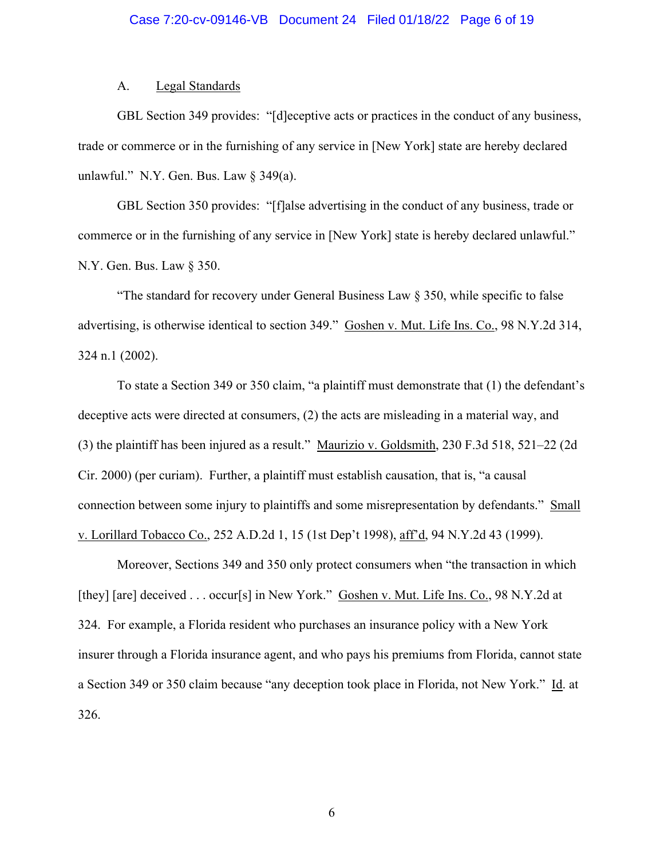### A. Legal Standards

GBL Section 349 provides: "[d]eceptive acts or practices in the conduct of any business, trade or commerce or in the furnishing of any service in [New York] state are hereby declared unlawful." N.Y. Gen. Bus. Law § 349(a).

GBL Section 350 provides: "[f]alse advertising in the conduct of any business, trade or commerce or in the furnishing of any service in [New York] state is hereby declared unlawful." N.Y. Gen. Bus. Law § 350.

"The standard for recovery under General Business Law § 350, while specific to false advertising, is otherwise identical to section 349." Goshen v. Mut. Life Ins. Co., 98 N.Y.2d 314, 324 n.1 (2002).

To state a Section 349 or 350 claim, "a plaintiff must demonstrate that (1) the defendant's deceptive acts were directed at consumers, (2) the acts are misleading in a material way, and (3) the plaintiff has been injured as a result." Maurizio v. Goldsmith, 230 F.3d 518, 521–22 (2d Cir. 2000) (per curiam). Further, a plaintiff must establish causation, that is, "a causal connection between some injury to plaintiffs and some misrepresentation by defendants." Small v. Lorillard Tobacco Co., 252 A.D.2d 1, 15 (1st Dep't 1998), aff'd, 94 N.Y.2d 43 (1999).

Moreover, Sections 349 and 350 only protect consumers when "the transaction in which [they] [are] deceived . . . occur[s] in New York." Goshen v. Mut. Life Ins. Co., 98 N.Y.2d at 324. For example, a Florida resident who purchases an insurance policy with a New York insurer through a Florida insurance agent, and who pays his premiums from Florida, cannot state a Section 349 or 350 claim because "any deception took place in Florida, not New York." Id. at 326.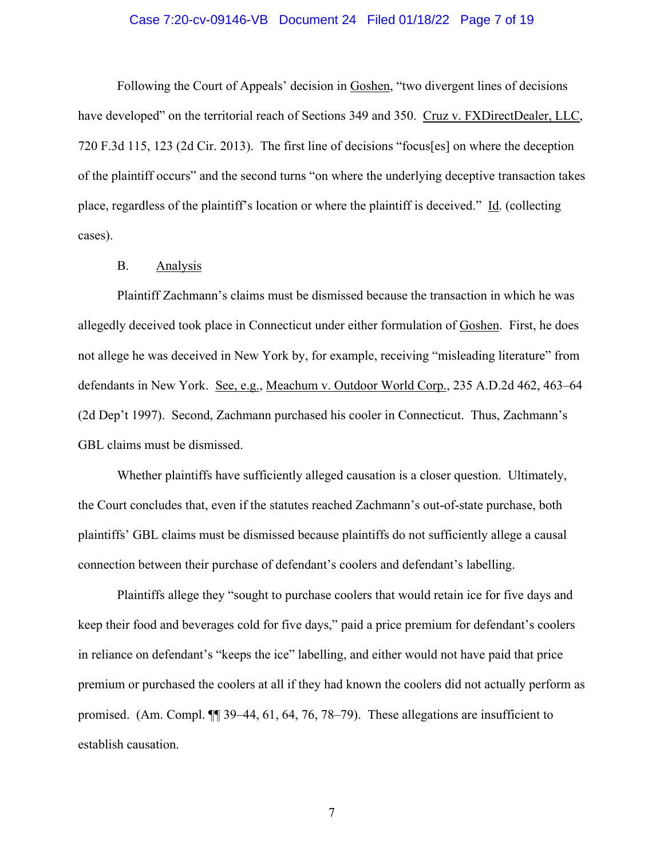### Case 7:20-cv-09146-VB Document 24 Filed 01/18/22 Page 7 of 19

Following the Court of Appeals' decision in Goshen, "two divergent lines of decisions have developed" on the territorial reach of Sections 349 and 350. Cruz v. FXDirectDealer, LLC, 720 F.3d 115, 123 (2d Cir. 2013). The first line of decisions "focus[es] on where the deception of the plaintiff occurs" and the second turns "on where the underlying deceptive transaction takes place, regardless of the plaintiff's location or where the plaintiff is deceived." Id. (collecting cases).

## B. Analysis

Plaintiff Zachmann's claims must be dismissed because the transaction in which he was allegedly deceived took place in Connecticut under either formulation of Goshen. First, he does not allege he was deceived in New York by, for example, receiving "misleading literature" from defendants in New York. See, e.g., Meachum v. Outdoor World Corp., 235 A.D.2d 462, 463–64 (2d Dep't 1997). Second, Zachmann purchased his cooler in Connecticut. Thus, Zachmann's GBL claims must be dismissed.

Whether plaintiffs have sufficiently alleged causation is a closer question. Ultimately, the Court concludes that, even if the statutes reached Zachmann's out-of-state purchase, both plaintiffs' GBL claims must be dismissed because plaintiffs do not sufficiently allege a causal connection between their purchase of defendant's coolers and defendant's labelling.

Plaintiffs allege they "sought to purchase coolers that would retain ice for five days and keep their food and beverages cold for five days," paid a price premium for defendant's coolers in reliance on defendant's "keeps the ice" labelling, and either would not have paid that price premium or purchased the coolers at all if they had known the coolers did not actually perform as promised. (Am. Compl. ¶¶ 39–44, 61, 64, 76, 78–79). These allegations are insufficient to establish causation.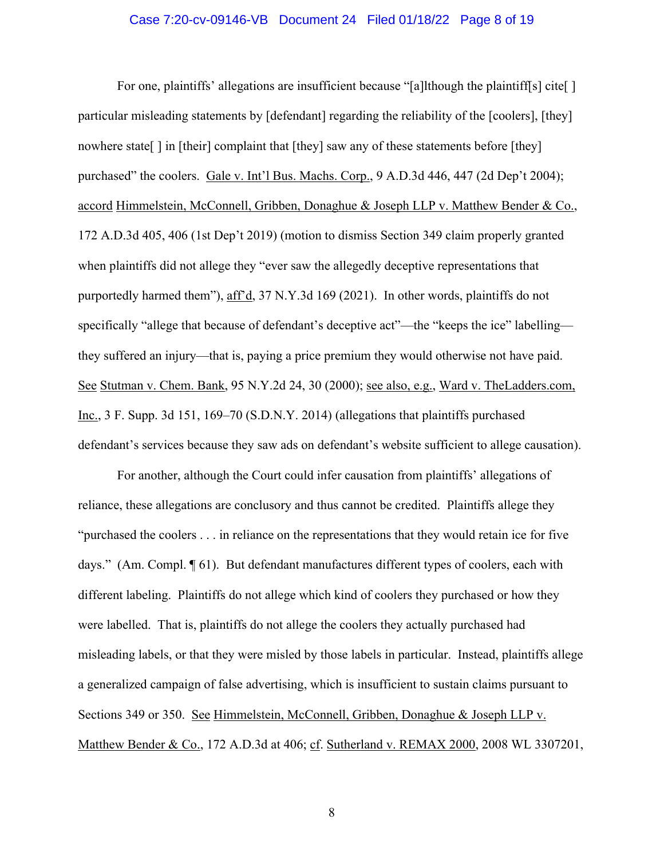#### Case 7:20-cv-09146-VB Document 24 Filed 01/18/22 Page 8 of 19

For one, plaintiffs' allegations are insufficient because "[a]lthough the plaintiff[s] cite[ ] particular misleading statements by [defendant] regarding the reliability of the [coolers], [they] nowhere state [] in [their] complaint that [they] saw any of these statements before [they] purchased" the coolers. Gale v. Int'l Bus. Machs. Corp., 9 A.D.3d 446, 447 (2d Dep't 2004); accord Himmelstein, McConnell, Gribben, Donaghue & Joseph LLP v. Matthew Bender & Co., 172 A.D.3d 405, 406 (1st Dep't 2019) (motion to dismiss Section 349 claim properly granted when plaintiffs did not allege they "ever saw the allegedly deceptive representations that purportedly harmed them"), aff'd, 37 N.Y.3d 169 (2021). In other words, plaintiffs do not specifically "allege that because of defendant's deceptive act"—the "keeps the ice" labelling they suffered an injury—that is, paying a price premium they would otherwise not have paid. See Stutman v. Chem. Bank, 95 N.Y.2d 24, 30 (2000); see also, e.g., Ward v. TheLadders.com, Inc., 3 F. Supp. 3d 151, 169–70 (S.D.N.Y. 2014) (allegations that plaintiffs purchased defendant's services because they saw ads on defendant's website sufficient to allege causation).

For another, although the Court could infer causation from plaintiffs' allegations of reliance, these allegations are conclusory and thus cannot be credited. Plaintiffs allege they "purchased the coolers . . . in reliance on the representations that they would retain ice for five days." (Am. Compl. ¶ 61). But defendant manufactures different types of coolers, each with different labeling. Plaintiffs do not allege which kind of coolers they purchased or how they were labelled. That is, plaintiffs do not allege the coolers they actually purchased had misleading labels, or that they were misled by those labels in particular. Instead, plaintiffs allege a generalized campaign of false advertising, which is insufficient to sustain claims pursuant to Sections 349 or 350. See Himmelstein, McConnell, Gribben, Donaghue & Joseph LLP v. Matthew Bender & Co., 172 A.D.3d at 406; cf. Sutherland v. REMAX 2000, 2008 WL 3307201,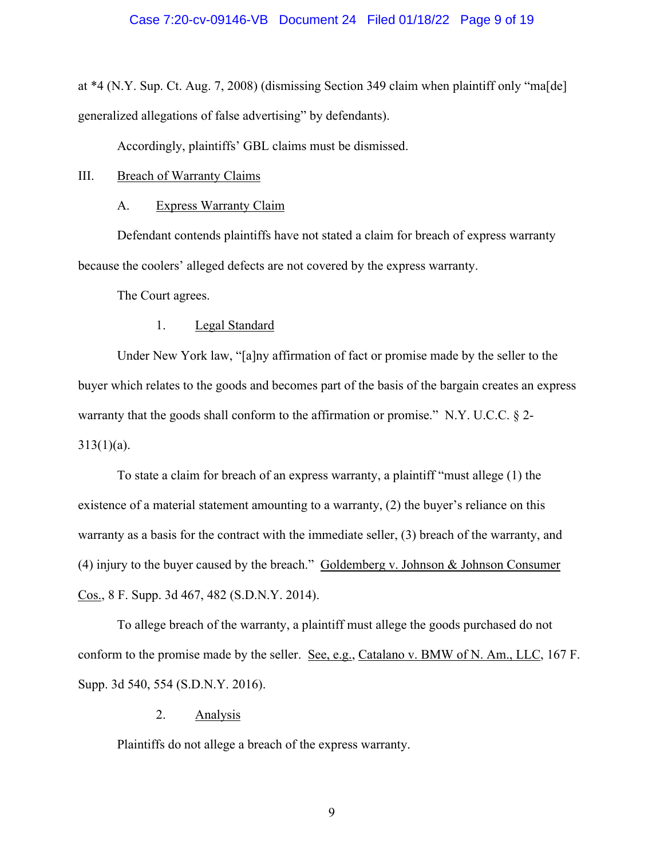at \*4 (N.Y. Sup. Ct. Aug. 7, 2008) (dismissing Section 349 claim when plaintiff only "ma[de] generalized allegations of false advertising" by defendants).

Accordingly, plaintiffs' GBL claims must be dismissed.

III. Breach of Warranty Claims

## A. Express Warranty Claim

Defendant contends plaintiffs have not stated a claim for breach of express warranty because the coolers' alleged defects are not covered by the express warranty.

The Court agrees.

## 1. Legal Standard

Under New York law, "[a]ny affirmation of fact or promise made by the seller to the buyer which relates to the goods and becomes part of the basis of the bargain creates an express warranty that the goods shall conform to the affirmation or promise." N.Y. U.C.C. § 2-  $313(1)(a)$ .

To state a claim for breach of an express warranty, a plaintiff "must allege (1) the existence of a material statement amounting to a warranty, (2) the buyer's reliance on this warranty as a basis for the contract with the immediate seller, (3) breach of the warranty, and (4) injury to the buyer caused by the breach." Goldemberg v. Johnson  $&$  Johnson Consumer Cos., 8 F. Supp. 3d 467, 482 (S.D.N.Y. 2014).

To allege breach of the warranty, a plaintiff must allege the goods purchased do not conform to the promise made by the seller. See, e.g., Catalano v. BMW of N. Am., LLC, 167 F. Supp. 3d 540, 554 (S.D.N.Y. 2016).

# 2. Analysis

Plaintiffs do not allege a breach of the express warranty.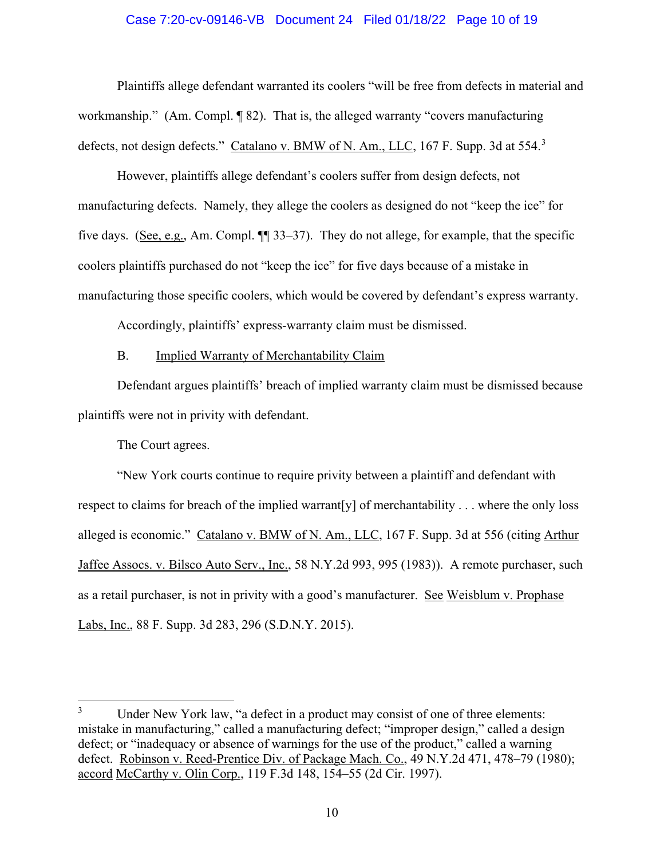### Case 7:20-cv-09146-VB Document 24 Filed 01/18/22 Page 10 of 19

Plaintiffs allege defendant warranted its coolers "will be free from defects in material and workmanship." (Am. Compl. ¶ 82). That is, the alleged warranty "covers manufacturing defects, not design defects." Catalano v. BMW of N. Am., LLC, 167 F. Supp. [3](#page-9-0)d at 554.<sup>3</sup>

However, plaintiffs allege defendant's coolers suffer from design defects, not manufacturing defects. Namely, they allege the coolers as designed do not "keep the ice" for five days. (See, e.g., Am. Compl. ¶¶ 33–37). They do not allege, for example, that the specific coolers plaintiffs purchased do not "keep the ice" for five days because of a mistake in manufacturing those specific coolers, which would be covered by defendant's express warranty.

Accordingly, plaintiffs' express-warranty claim must be dismissed.

# B. Implied Warranty of Merchantability Claim

Defendant argues plaintiffs' breach of implied warranty claim must be dismissed because plaintiffs were not in privity with defendant.

The Court agrees.

"New York courts continue to require privity between a plaintiff and defendant with respect to claims for breach of the implied warrant[y] of merchantability . . . where the only loss alleged is economic." Catalano v. BMW of N. Am., LLC, 167 F. Supp. 3d at 556 (citing Arthur Jaffee Assocs. v. Bilsco Auto Serv., Inc., 58 N.Y.2d 993, 995 (1983)). A remote purchaser, such as a retail purchaser, is not in privity with a good's manufacturer. See Weisblum v. Prophase Labs, Inc., 88 F. Supp. 3d 283, 296 (S.D.N.Y. 2015).

<span id="page-9-0"></span><sup>&</sup>lt;sup>3</sup> Under New York law, "a defect in a product may consist of one of three elements: mistake in manufacturing," called a manufacturing defect; "improper design," called a design defect; or "inadequacy or absence of warnings for the use of the product," called a warning defect. Robinson v. Reed-Prentice Div. of Package Mach. Co., 49 N.Y.2d 471, 478–79 (1980); accord McCarthy v. Olin Corp., 119 F.3d 148, 154–55 (2d Cir. 1997).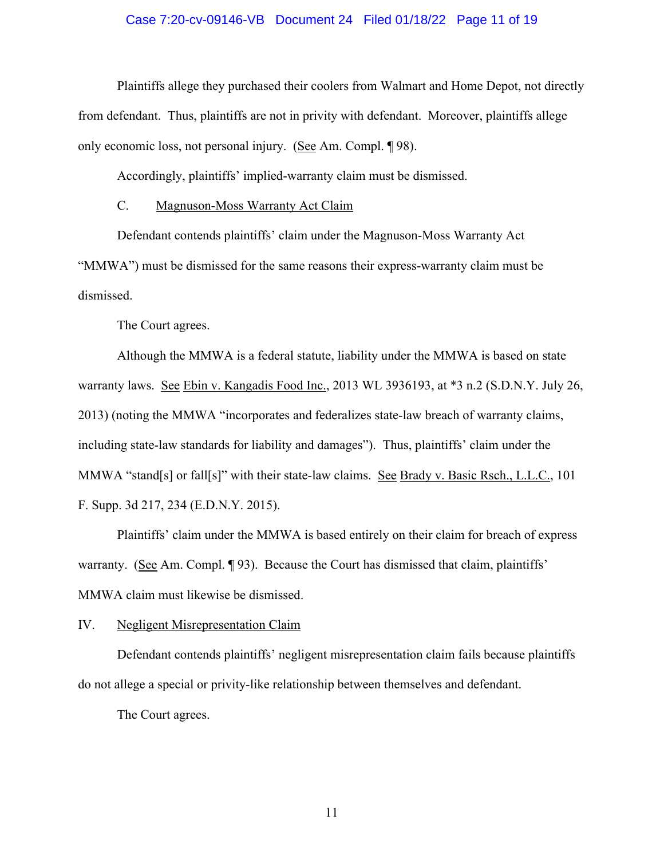### Case 7:20-cv-09146-VB Document 24 Filed 01/18/22 Page 11 of 19

Plaintiffs allege they purchased their coolers from Walmart and Home Depot, not directly from defendant. Thus, plaintiffs are not in privity with defendant. Moreover, plaintiffs allege only economic loss, not personal injury. (See Am. Compl. ¶ 98).

Accordingly, plaintiffs' implied-warranty claim must be dismissed.

# C. Magnuson-Moss Warranty Act Claim

Defendant contends plaintiffs' claim under the Magnuson-Moss Warranty Act "MMWA") must be dismissed for the same reasons their express-warranty claim must be dismissed.

The Court agrees.

Although the MMWA is a federal statute, liability under the MMWA is based on state warranty laws. See Ebin v. Kangadis Food Inc., 2013 WL 3936193, at \*3 n.2 (S.D.N.Y. July 26, 2013) (noting the MMWA "incorporates and federalizes state-law breach of warranty claims, including state-law standards for liability and damages"). Thus, plaintiffs' claim under the MMWA "stand[s] or fall[s]" with their state-law claims. See Brady v. Basic Rsch., L.L.C., 101 F. Supp. 3d 217, 234 (E.D.N.Y. 2015).

Plaintiffs' claim under the MMWA is based entirely on their claim for breach of express warranty. (See Am. Compl. ¶ 93). Because the Court has dismissed that claim, plaintiffs' MMWA claim must likewise be dismissed.

## IV. Negligent Misrepresentation Claim

Defendant contends plaintiffs' negligent misrepresentation claim fails because plaintiffs do not allege a special or privity-like relationship between themselves and defendant.

The Court agrees.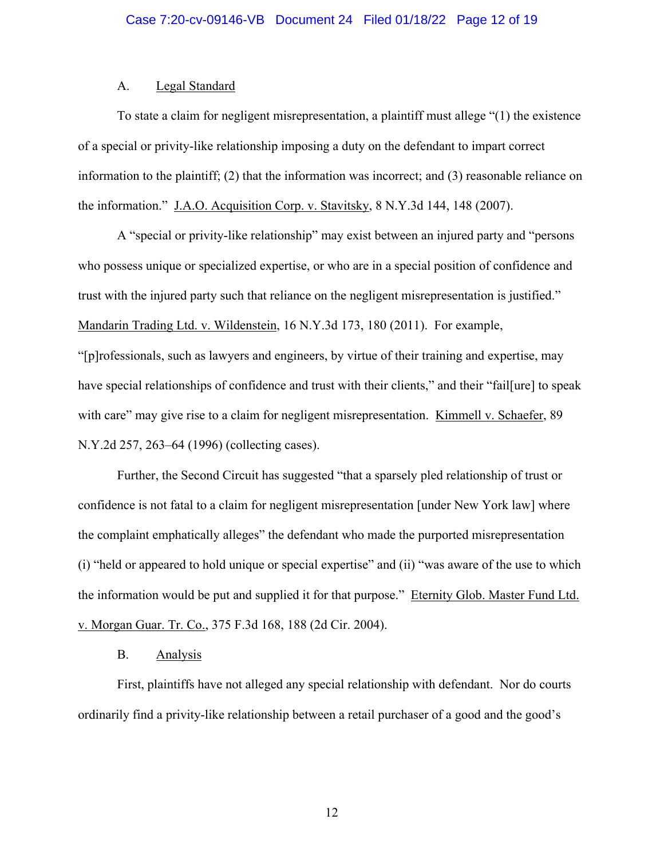## A. Legal Standard

To state a claim for negligent misrepresentation, a plaintiff must allege "(1) the existence of a special or privity-like relationship imposing a duty on the defendant to impart correct information to the plaintiff; (2) that the information was incorrect; and (3) reasonable reliance on the information." J.A.O. Acquisition Corp. v. Stavitsky, 8 N.Y.3d 144, 148 (2007).

A "special or privity-like relationship" may exist between an injured party and "persons who possess unique or specialized expertise, or who are in a special position of confidence and trust with the injured party such that reliance on the negligent misrepresentation is justified." Mandarin Trading Ltd. v. Wildenstein, 16 N.Y.3d 173, 180 (2011). For example,

"[p]rofessionals, such as lawyers and engineers, by virtue of their training and expertise, may have special relationships of confidence and trust with their clients," and their "fail[ure] to speak with care" may give rise to a claim for negligent misrepresentation. Kimmell v. Schaefer, 89 N.Y.2d 257, 263–64 (1996) (collecting cases).

Further, the Second Circuit has suggested "that a sparsely pled relationship of trust or confidence is not fatal to a claim for negligent misrepresentation [under New York law] where the complaint emphatically alleges" the defendant who made the purported misrepresentation (i) "held or appeared to hold unique or special expertise" and (ii) "was aware of the use to which the information would be put and supplied it for that purpose." Eternity Glob. Master Fund Ltd. v. Morgan Guar. Tr. Co., 375 F.3d 168, 188 (2d Cir. 2004).

## B. Analysis

First, plaintiffs have not alleged any special relationship with defendant. Nor do courts ordinarily find a privity-like relationship between a retail purchaser of a good and the good's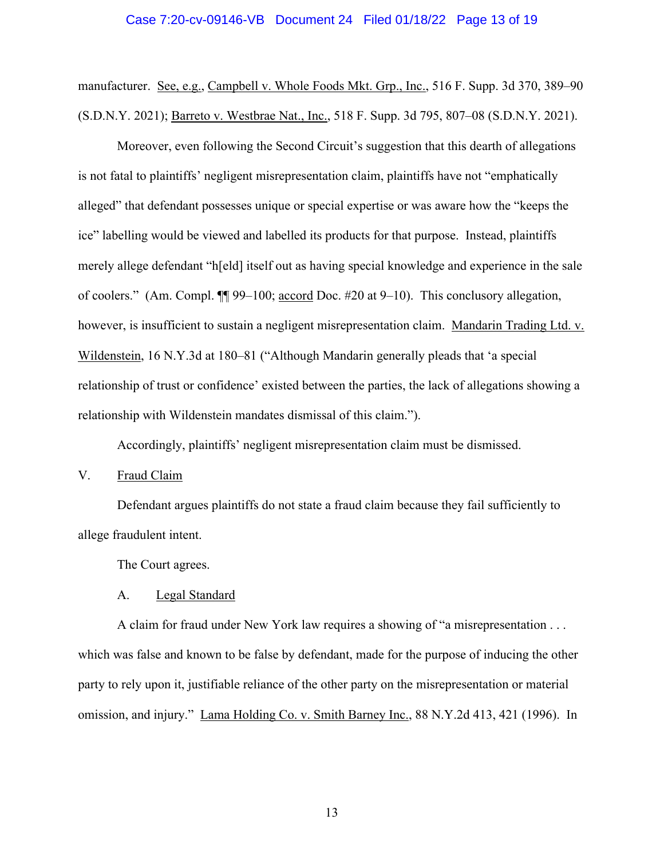#### Case 7:20-cv-09146-VB Document 24 Filed 01/18/22 Page 13 of 19

manufacturer. See, e.g., Campbell v. Whole Foods Mkt. Grp., Inc., 516 F. Supp. 3d 370, 389–90 (S.D.N.Y. 2021); Barreto v. Westbrae Nat., Inc., 518 F. Supp. 3d 795, 807–08 (S.D.N.Y. 2021).

Moreover, even following the Second Circuit's suggestion that this dearth of allegations is not fatal to plaintiffs' negligent misrepresentation claim, plaintiffs have not "emphatically alleged" that defendant possesses unique or special expertise or was aware how the "keeps the ice" labelling would be viewed and labelled its products for that purpose. Instead, plaintiffs merely allege defendant "h[eld] itself out as having special knowledge and experience in the sale of coolers." (Am. Compl. ¶¶ 99–100; accord Doc. #20 at 9–10). This conclusory allegation, however, is insufficient to sustain a negligent misrepresentation claim. Mandarin Trading Ltd. v. Wildenstein, 16 N.Y.3d at 180–81 ("Although Mandarin generally pleads that 'a special relationship of trust or confidence' existed between the parties, the lack of allegations showing a relationship with Wildenstein mandates dismissal of this claim.").

Accordingly, plaintiffs' negligent misrepresentation claim must be dismissed.

V. Fraud Claim

Defendant argues plaintiffs do not state a fraud claim because they fail sufficiently to allege fraudulent intent.

The Court agrees.

A. Legal Standard

A claim for fraud under New York law requires a showing of "a misrepresentation . . . which was false and known to be false by defendant, made for the purpose of inducing the other party to rely upon it, justifiable reliance of the other party on the misrepresentation or material omission, and injury." Lama Holding Co. v. Smith Barney Inc., 88 N.Y.2d 413, 421 (1996). In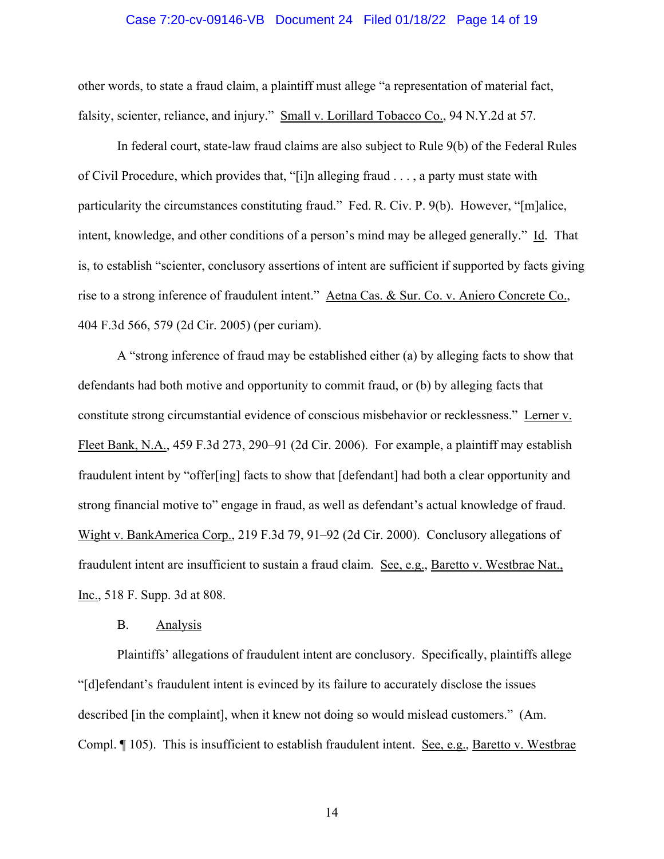#### Case 7:20-cv-09146-VB Document 24 Filed 01/18/22 Page 14 of 19

other words, to state a fraud claim, a plaintiff must allege "a representation of material fact, falsity, scienter, reliance, and injury." Small v. Lorillard Tobacco Co., 94 N.Y.2d at 57.

In federal court, state-law fraud claims are also subject to Rule 9(b) of the Federal Rules of Civil Procedure, which provides that, "[i]n alleging fraud . . . , a party must state with particularity the circumstances constituting fraud." Fed. R. Civ. P. 9(b). However, "[m]alice, intent, knowledge, and other conditions of a person's mind may be alleged generally." Id. That is, to establish "scienter, conclusory assertions of intent are sufficient if supported by facts giving rise to a strong inference of fraudulent intent." Aetna Cas. & Sur. Co. v. Aniero Concrete Co., 404 F.3d 566, 579 (2d Cir. 2005) (per curiam).

A "strong inference of fraud may be established either (a) by alleging facts to show that defendants had both motive and opportunity to commit fraud, or (b) by alleging facts that constitute strong circumstantial evidence of conscious misbehavior or recklessness." Lerner v. Fleet Bank, N.A., 459 F.3d 273, 290–91 (2d Cir. 2006). For example, a plaintiff may establish fraudulent intent by "offer[ing] facts to show that [defendant] had both a clear opportunity and strong financial motive to" engage in fraud, as well as defendant's actual knowledge of fraud. Wight v. BankAmerica Corp., 219 F.3d 79, 91–92 (2d Cir. 2000). Conclusory allegations of fraudulent intent are insufficient to sustain a fraud claim. See, e.g., Baretto v. Westbrae Nat., Inc., 518 F. Supp. 3d at 808.

#### B. Analysis

Plaintiffs' allegations of fraudulent intent are conclusory. Specifically, plaintiffs allege "[d]efendant's fraudulent intent is evinced by its failure to accurately disclose the issues described [in the complaint], when it knew not doing so would mislead customers." (Am. Compl. ¶ 105). This is insufficient to establish fraudulent intent. See, e.g., Baretto v. Westbrae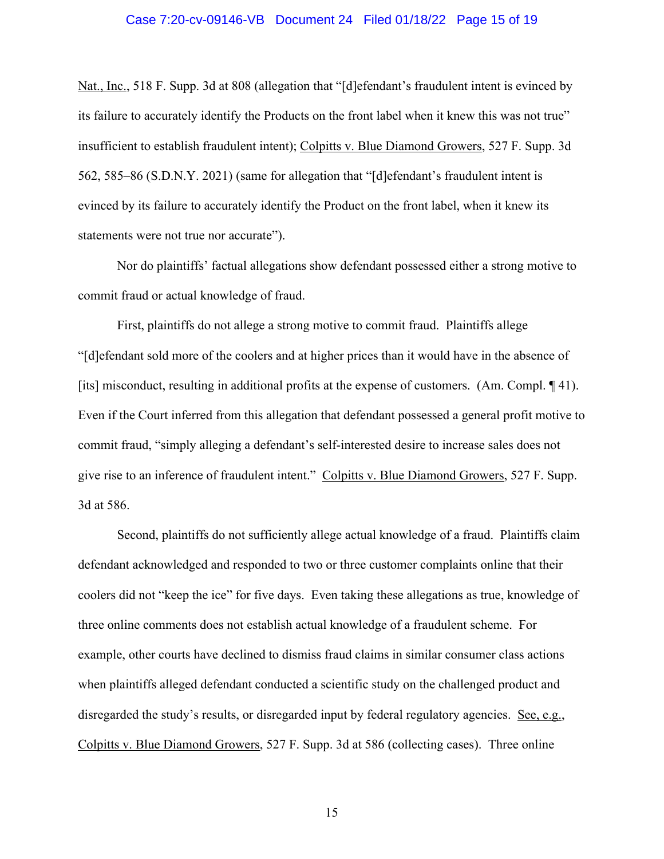#### Case 7:20-cv-09146-VB Document 24 Filed 01/18/22 Page 15 of 19

Nat., Inc., 518 F. Supp. 3d at 808 (allegation that "[d]efendant's fraudulent intent is evinced by its failure to accurately identify the Products on the front label when it knew this was not true" insufficient to establish fraudulent intent); Colpitts v. Blue Diamond Growers, 527 F. Supp. 3d 562, 585–86 (S.D.N.Y. 2021) (same for allegation that "[d]efendant's fraudulent intent is evinced by its failure to accurately identify the Product on the front label, when it knew its statements were not true nor accurate").

Nor do plaintiffs' factual allegations show defendant possessed either a strong motive to commit fraud or actual knowledge of fraud.

First, plaintiffs do not allege a strong motive to commit fraud. Plaintiffs allege "[d]efendant sold more of the coolers and at higher prices than it would have in the absence of [its] misconduct, resulting in additional profits at the expense of customers. (Am. Compl. 141). Even if the Court inferred from this allegation that defendant possessed a general profit motive to commit fraud, "simply alleging a defendant's self-interested desire to increase sales does not give rise to an inference of fraudulent intent." Colpitts v. Blue Diamond Growers, 527 F. Supp. 3d at 586.

Second, plaintiffs do not sufficiently allege actual knowledge of a fraud. Plaintiffs claim defendant acknowledged and responded to two or three customer complaints online that their coolers did not "keep the ice" for five days. Even taking these allegations as true, knowledge of three online comments does not establish actual knowledge of a fraudulent scheme. For example, other courts have declined to dismiss fraud claims in similar consumer class actions when plaintiffs alleged defendant conducted a scientific study on the challenged product and disregarded the study's results, or disregarded input by federal regulatory agencies. See, e.g., Colpitts v. Blue Diamond Growers, 527 F. Supp. 3d at 586 (collecting cases). Three online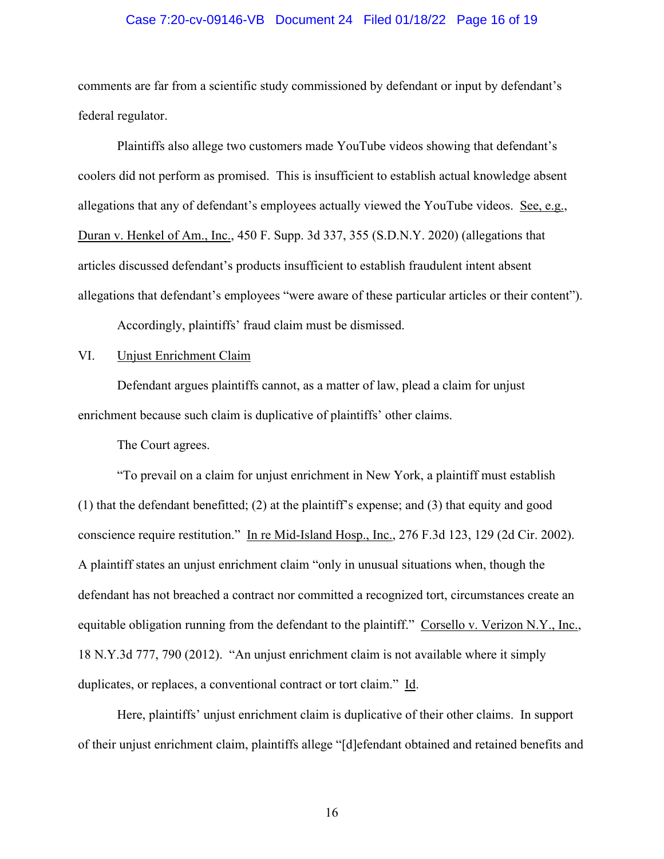### Case 7:20-cv-09146-VB Document 24 Filed 01/18/22 Page 16 of 19

comments are far from a scientific study commissioned by defendant or input by defendant's federal regulator.

Plaintiffs also allege two customers made YouTube videos showing that defendant's coolers did not perform as promised. This is insufficient to establish actual knowledge absent allegations that any of defendant's employees actually viewed the YouTube videos. See, e.g., Duran v. Henkel of Am., Inc., 450 F. Supp. 3d 337, 355 (S.D.N.Y. 2020) (allegations that articles discussed defendant's products insufficient to establish fraudulent intent absent allegations that defendant's employees "were aware of these particular articles or their content"). Accordingly, plaintiffs' fraud claim must be dismissed.

#### VI. Unjust Enrichment Claim

Defendant argues plaintiffs cannot, as a matter of law, plead a claim for unjust enrichment because such claim is duplicative of plaintiffs' other claims.

The Court agrees.

"To prevail on a claim for unjust enrichment in New York, a plaintiff must establish (1) that the defendant benefitted; (2) at the plaintiff's expense; and (3) that equity and good conscience require restitution." In re Mid-Island Hosp., Inc., 276 F.3d 123, 129 (2d Cir. 2002). A plaintiff states an unjust enrichment claim "only in unusual situations when, though the defendant has not breached a contract nor committed a recognized tort, circumstances create an equitable obligation running from the defendant to the plaintiff." Corsello v. Verizon N.Y., Inc., 18 N.Y.3d 777, 790 (2012). "An unjust enrichment claim is not available where it simply duplicates, or replaces, a conventional contract or tort claim." Id.

Here, plaintiffs' unjust enrichment claim is duplicative of their other claims. In support of their unjust enrichment claim, plaintiffs allege "[d]efendant obtained and retained benefits and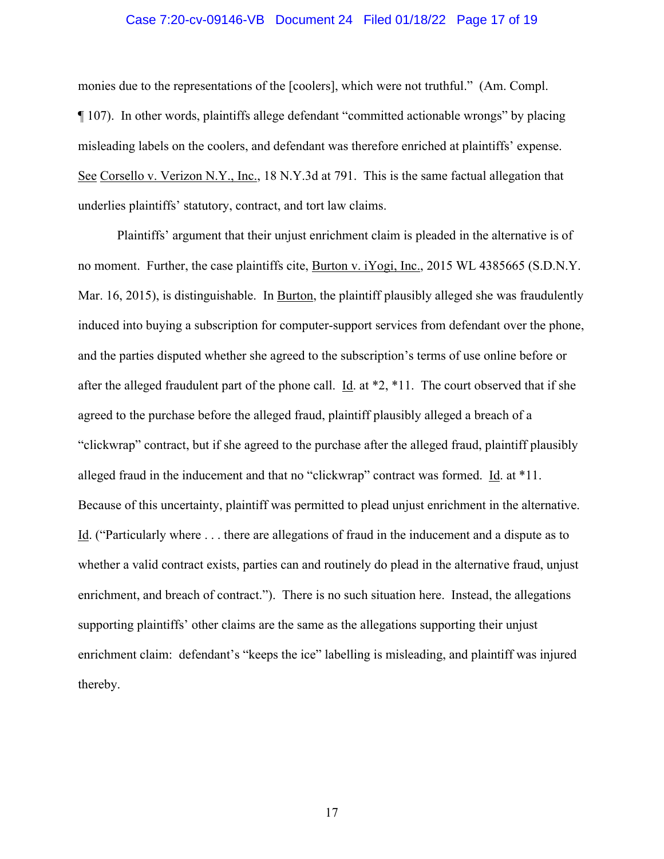### Case 7:20-cv-09146-VB Document 24 Filed 01/18/22 Page 17 of 19

monies due to the representations of the [coolers], which were not truthful." (Am. Compl. ¶ 107). In other words, plaintiffs allege defendant "committed actionable wrongs" by placing misleading labels on the coolers, and defendant was therefore enriched at plaintiffs' expense. See Corsello v. Verizon N.Y., Inc., 18 N.Y.3d at 791. This is the same factual allegation that underlies plaintiffs' statutory, contract, and tort law claims.

Plaintiffs' argument that their unjust enrichment claim is pleaded in the alternative is of no moment. Further, the case plaintiffs cite, Burton v. iYogi, Inc., 2015 WL 4385665 (S.D.N.Y. Mar. 16, 2015), is distinguishable. In Burton, the plaintiff plausibly alleged she was fraudulently induced into buying a subscription for computer-support services from defendant over the phone, and the parties disputed whether she agreed to the subscription's terms of use online before or after the alleged fraudulent part of the phone call. Id. at  $*2$ ,  $*11$ . The court observed that if she agreed to the purchase before the alleged fraud, plaintiff plausibly alleged a breach of a "clickwrap" contract, but if she agreed to the purchase after the alleged fraud, plaintiff plausibly alleged fraud in the inducement and that no "clickwrap" contract was formed. Id. at \*11. Because of this uncertainty, plaintiff was permitted to plead unjust enrichment in the alternative. Id. ("Particularly where . . . there are allegations of fraud in the inducement and a dispute as to whether a valid contract exists, parties can and routinely do plead in the alternative fraud, unjust enrichment, and breach of contract."). There is no such situation here. Instead, the allegations supporting plaintiffs' other claims are the same as the allegations supporting their unjust enrichment claim: defendant's "keeps the ice" labelling is misleading, and plaintiff was injured thereby.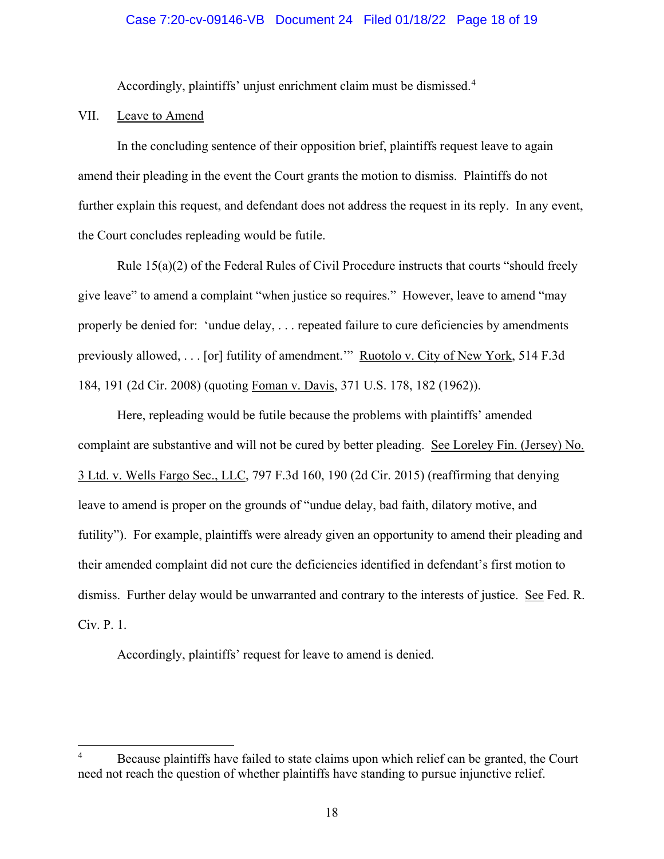## Case 7:20-cv-09146-VB Document 24 Filed 01/18/22 Page 18 of 19

Accordingly, plaintiffs' unjust enrichment claim must be dismissed.<sup>[4](#page-17-0)</sup>

# VII. Leave to Amend

In the concluding sentence of their opposition brief, plaintiffs request leave to again amend their pleading in the event the Court grants the motion to dismiss. Plaintiffs do not further explain this request, and defendant does not address the request in its reply. In any event, the Court concludes repleading would be futile.

Rule 15(a)(2) of the Federal Rules of Civil Procedure instructs that courts "should freely give leave" to amend a complaint "when justice so requires." However, leave to amend "may properly be denied for: 'undue delay, . . . repeated failure to cure deficiencies by amendments previously allowed, . . . [or] futility of amendment."" Ruotolo v. City of New York, 514 F.3d 184, 191 (2d Cir. 2008) (quoting Foman v. Davis, 371 U.S. 178, 182 (1962)).

Here, repleading would be futile because the problems with plaintiffs' amended complaint are substantive and will not be cured by better pleading. See Loreley Fin. (Jersey) No. 3 Ltd. v. Wells Fargo Sec., LLC, 797 F.3d 160, 190 (2d Cir. 2015) (reaffirming that denying leave to amend is proper on the grounds of "undue delay, bad faith, dilatory motive, and futility"). For example, plaintiffs were already given an opportunity to amend their pleading and their amended complaint did not cure the deficiencies identified in defendant's first motion to dismiss. Further delay would be unwarranted and contrary to the interests of justice. See Fed. R. Civ. P. 1.

Accordingly, plaintiffs' request for leave to amend is denied.

<span id="page-17-0"></span><sup>4</sup> Because plaintiffs have failed to state claims upon which relief can be granted, the Court need not reach the question of whether plaintiffs have standing to pursue injunctive relief.